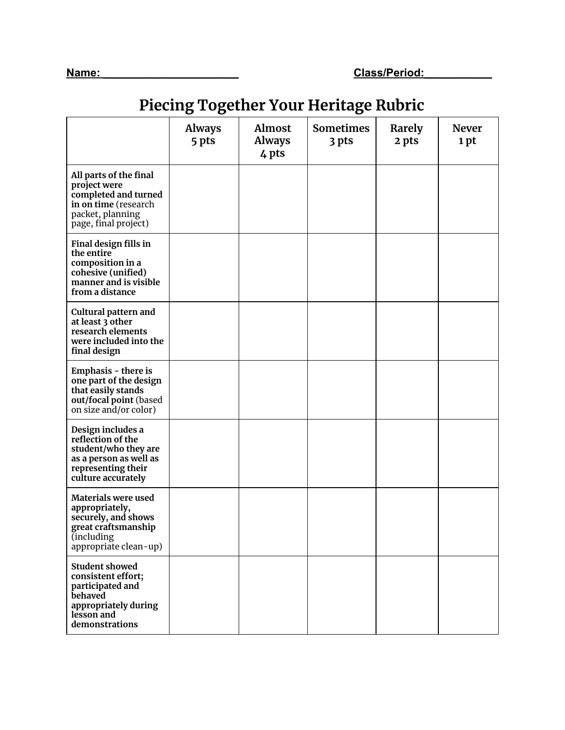## **Piecing Together Your Heritage Rubric**

|                                                                                                                                           | <b>Always</b><br>5 pts | <b>Almost</b><br><b>Always</b><br>4 pts | <b>Sometimes</b><br>3 pts | Rarely<br>2 pts | <b>Never</b><br>1 pt |
|-------------------------------------------------------------------------------------------------------------------------------------------|------------------------|-----------------------------------------|---------------------------|-----------------|----------------------|
| All parts of the final<br>project were<br>completed and turned<br>in on time (research<br>packet, planning<br>page, final project)        |                        |                                         |                           |                 |                      |
| Final design fills in<br>the entire<br>composition in a<br>cohesive (unified)<br>manner and is visible<br>from a distance                 |                        |                                         |                           |                 |                      |
| Cultural pattern and<br>at least 3 other<br>research elements<br>were included into the<br>final design                                   |                        |                                         |                           |                 |                      |
| Emphasis - there is<br>one part of the design<br>that easily stands<br>out/focal point (based<br>on size and/or color)                    |                        |                                         |                           |                 |                      |
| Design includes a<br>reflection of the<br>student/who they are<br>as a person as well as<br>representing their<br>culture accurately      |                        |                                         |                           |                 |                      |
| Materials were used<br>appropriately,<br>securely, and shows<br>great craftsmanship<br><i>l</i> including<br>appropriate clean-up)        |                        |                                         |                           |                 |                      |
| <b>Student showed</b><br>consistent effort;<br>participated and<br><b>behaved</b><br>appropriately during<br>lesson and<br>demonstrations |                        |                                         |                           |                 |                      |